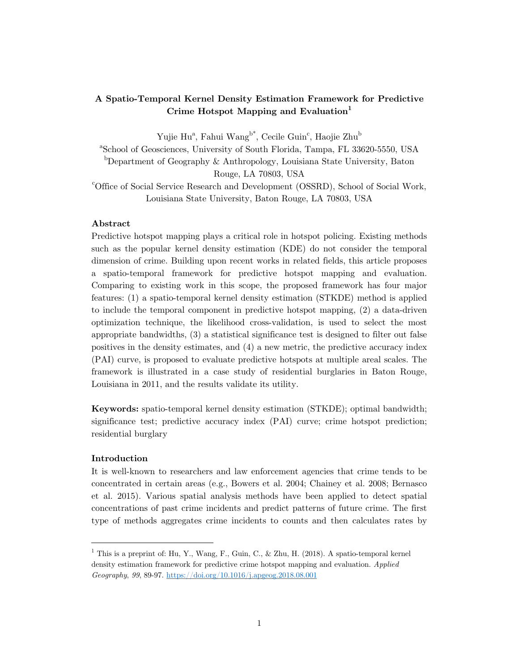# **A Spatio-Temporal Kernel Density Estimation Framework for Predictive**  Crime Hotspot Mapping and Evaluation<sup>1</sup>

Yujie Hu<sup>a</sup>, Fahui Wang<sup>b\*</sup>, Cecile Guin<sup>c</sup>, Haojie Zhu<sup>b</sup>

a School of Geosciences, University of South Florida, Tampa, FL 33620-5550, USA b Department of Geography & Anthropology, Louisiana State University, Baton Rouge, LA 70803, USA

c Office of Social Service Research and Development (OSSRD), School of Social Work, Louisiana State University, Baton Rouge, LA 70803, USA

# **Abstract**

Predictive hotspot mapping plays a critical role in hotspot policing. Existing methods such as the popular kernel density estimation (KDE) do not consider the temporal dimension of crime. Building upon recent works in related fields, this article proposes a spatio-temporal framework for predictive hotspot mapping and evaluation. Comparing to existing work in this scope, the proposed framework has four major features: (1) a spatio-temporal kernel density estimation (STKDE) method is applied to include the temporal component in predictive hotspot mapping, (2) a data-driven optimization technique, the likelihood cross-validation, is used to select the most appropriate bandwidths, (3) a statistical significance test is designed to filter out false positives in the density estimates, and (4) a new metric, the predictive accuracy index (PAI) curve, is proposed to evaluate predictive hotspots at multiple areal scales. The framework is illustrated in a case study of residential burglaries in Baton Rouge, Louisiana in 2011, and the results validate its utility.

**Keywords:** spatio-temporal kernel density estimation (STKDE); optimal bandwidth; significance test; predictive accuracy index (PAI) curve; crime hotspot prediction; residential burglary

## **Introduction**

It is well-known to researchers and law enforcement agencies that crime tends to be concentrated in certain areas (e.g., Bowers et al. 2004; Chainey et al. 2008; Bernasco et al. 2015). Various spatial analysis methods have been applied to detect spatial concentrations of past crime incidents and predict patterns of future crime. The first type of methods aggregates crime incidents to counts and then calculates rates by

<sup>&</sup>lt;sup>1</sup> This is a preprint of: Hu, Y., Wang, F., Guin, C., & Zhu, H. (2018). A spatio-temporal kernel density estimation framework for predictive crime hotspot mapping and evaluation. *Applied Geography*, *99*, 89-97. https://doi.org/10.1016/j.apgeog.2018.08.001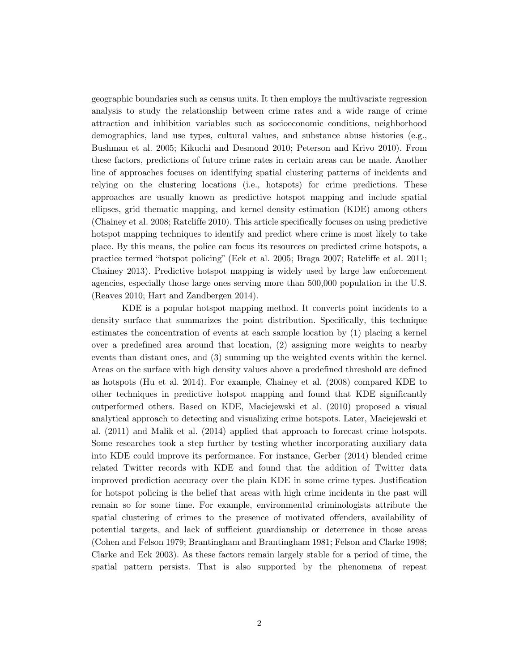geographic boundaries such as census units. It then employs the multivariate regression analysis to study the relationship between crime rates and a wide range of crime attraction and inhibition variables such as socioeconomic conditions, neighborhood demographics, land use types, cultural values, and substance abuse histories (e.g., Bushman et al. 2005; Kikuchi and Desmond 2010; Peterson and Krivo 2010). From these factors, predictions of future crime rates in certain areas can be made. Another line of approaches focuses on identifying spatial clustering patterns of incidents and relying on the clustering locations (i.e., hotspots) for crime predictions. These approaches are usually known as predictive hotspot mapping and include spatial ellipses, grid thematic mapping, and kernel density estimation (KDE) among others (Chainey et al. 2008; Ratcliffe 2010). This article specifically focuses on using predictive hotspot mapping techniques to identify and predict where crime is most likely to take place. By this means, the police can focus its resources on predicted crime hotspots, a practice termed "hotspot policing" (Eck et al. 2005; Braga 2007; Ratcliffe et al. 2011; Chainey 2013). Predictive hotspot mapping is widely used by large law enforcement agencies, especially those large ones serving more than 500,000 population in the U.S. (Reaves 2010; Hart and Zandbergen 2014).

KDE is a popular hotspot mapping method. It converts point incidents to a density surface that summarizes the point distribution. Specifically, this technique estimates the concentration of events at each sample location by (1) placing a kernel over a predefined area around that location, (2) assigning more weights to nearby events than distant ones, and (3) summing up the weighted events within the kernel. Areas on the surface with high density values above a predefined threshold are defined as hotspots (Hu et al. 2014). For example, Chainey et al. (2008) compared KDE to other techniques in predictive hotspot mapping and found that KDE significantly outperformed others. Based on KDE, Maciejewski et al. (2010) proposed a visual analytical approach to detecting and visualizing crime hotspots. Later, Maciejewski et al. (2011) and Malik et al. (2014) applied that approach to forecast crime hotspots. Some researches took a step further by testing whether incorporating auxiliary data into KDE could improve its performance. For instance, Gerber (2014) blended crime related Twitter records with KDE and found that the addition of Twitter data improved prediction accuracy over the plain KDE in some crime types. Justification for hotspot policing is the belief that areas with high crime incidents in the past will remain so for some time. For example, environmental criminologists attribute the spatial clustering of crimes to the presence of motivated offenders, availability of potential targets, and lack of sufficient guardianship or deterrence in those areas (Cohen and Felson 1979; Brantingham and Brantingham 1981; Felson and Clarke 1998; Clarke and Eck 2003). As these factors remain largely stable for a period of time, the spatial pattern persists. That is also supported by the phenomena of repeat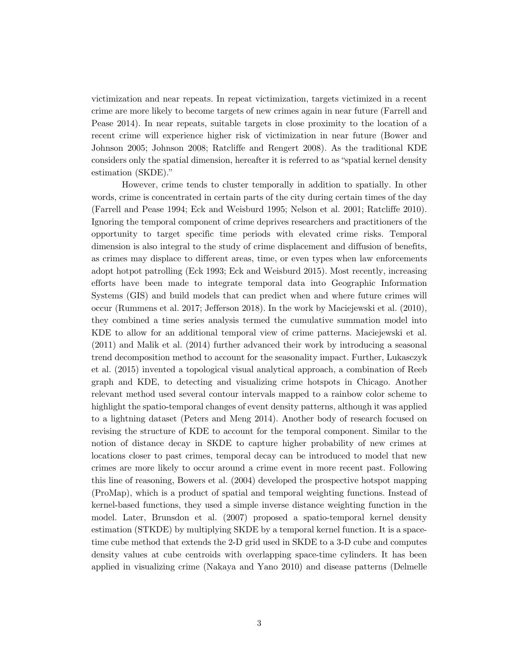victimization and near repeats. In repeat victimization, targets victimized in a recent crime are more likely to become targets of new crimes again in near future (Farrell and Pease 2014). In near repeats, suitable targets in close proximity to the location of a recent crime will experience higher risk of victimization in near future (Bower and Johnson 2005; Johnson 2008; Ratcliffe and Rengert 2008). As the traditional KDE considers only the spatial dimension, hereafter it is referred to as "spatial kernel density estimation (SKDE)."

However, crime tends to cluster temporally in addition to spatially. In other words, crime is concentrated in certain parts of the city during certain times of the day (Farrell and Pease 1994; Eck and Weisburd 1995; Nelson et al. 2001; Ratcliffe 2010). Ignoring the temporal component of crime deprives researchers and practitioners of the opportunity to target specific time periods with elevated crime risks. Temporal dimension is also integral to the study of crime displacement and diffusion of benefits, as crimes may displace to different areas, time, or even types when law enforcements adopt hotpot patrolling (Eck 1993; Eck and Weisburd 2015). Most recently, increasing efforts have been made to integrate temporal data into Geographic Information Systems (GIS) and build models that can predict when and where future crimes will occur (Rummens et al. 2017; Jefferson 2018). In the work by Maciejewski et al. (2010), they combined a time series analysis termed the cumulative summation model into KDE to allow for an additional temporal view of crime patterns. Maciejewski et al. (2011) and Malik et al. (2014) further advanced their work by introducing a seasonal trend decomposition method to account for the seasonality impact. Further, Lukasczyk et al. (2015) invented a topological visual analytical approach, a combination of Reeb graph and KDE, to detecting and visualizing crime hotspots in Chicago. Another relevant method used several contour intervals mapped to a rainbow color scheme to highlight the spatio-temporal changes of event density patterns, although it was applied to a lightning dataset (Peters and Meng 2014). Another body of research focused on revising the structure of KDE to account for the temporal component. Similar to the notion of distance decay in SKDE to capture higher probability of new crimes at locations closer to past crimes, temporal decay can be introduced to model that new crimes are more likely to occur around a crime event in more recent past. Following this line of reasoning, Bowers et al. (2004) developed the prospective hotspot mapping (ProMap), which is a product of spatial and temporal weighting functions. Instead of kernel-based functions, they used a simple inverse distance weighting function in the model. Later, Brunsdon et al. (2007) proposed a spatio-temporal kernel density estimation (STKDE) by multiplying SKDE by a temporal kernel function. It is a spacetime cube method that extends the 2-D grid used in SKDE to a 3-D cube and computes density values at cube centroids with overlapping space-time cylinders. It has been applied in visualizing crime (Nakaya and Yano 2010) and disease patterns (Delmelle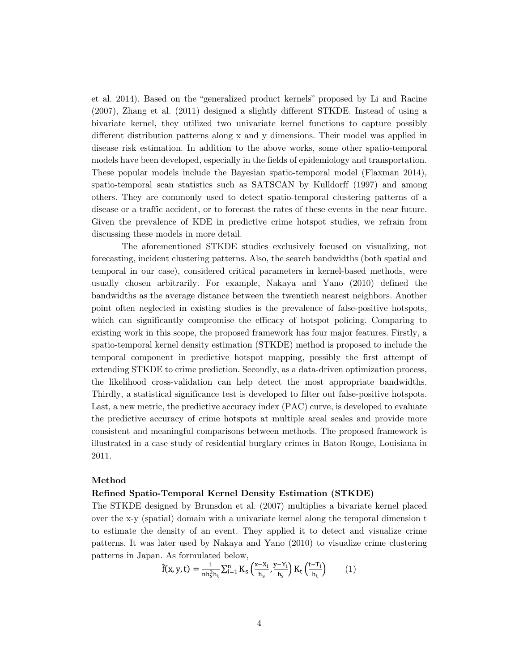et al. 2014). Based on the "generalized product kernels" proposed by Li and Racine (2007), Zhang et al. (2011) designed a slightly different STKDE. Instead of using a bivariate kernel, they utilized two univariate kernel functions to capture possibly different distribution patterns along x and y dimensions. Their model was applied in disease risk estimation. In addition to the above works, some other spatio-temporal models have been developed, especially in the fields of epidemiology and transportation. These popular models include the Bayesian spatio-temporal model (Flaxman 2014), spatio-temporal scan statistics such as SATSCAN by Kulldorff (1997) and among others. They are commonly used to detect spatio-temporal clustering patterns of a disease or a traffic accident, or to forecast the rates of these events in the near future. Given the prevalence of KDE in predictive crime hotspot studies, we refrain from discussing these models in more detail.

The aforementioned STKDE studies exclusively focused on visualizing, not forecasting, incident clustering patterns. Also, the search bandwidths (both spatial and temporal in our case), considered critical parameters in kernel-based methods, were usually chosen arbitrarily. For example, Nakaya and Yano (2010) defined the bandwidths as the average distance between the twentieth nearest neighbors. Another point often neglected in existing studies is the prevalence of false-positive hotspots, which can significantly compromise the efficacy of hotspot policing. Comparing to existing work in this scope, the proposed framework has four major features. Firstly, a spatio-temporal kernel density estimation (STKDE) method is proposed to include the temporal component in predictive hotspot mapping, possibly the first attempt of extending STKDE to crime prediction. Secondly, as a data-driven optimization process, the likelihood cross-validation can help detect the most appropriate bandwidths. Thirdly, a statistical significance test is developed to filter out false-positive hotspots. Last, a new metric, the predictive accuracy index (PAC) curve, is developed to evaluate the predictive accuracy of crime hotspots at multiple areal scales and provide more consistent and meaningful comparisons between methods. The proposed framework is illustrated in a case study of residential burglary crimes in Baton Rouge, Louisiana in 2011.

## **Method**

#### **Refined Spatio-Temporal Kernel Density Estimation (STKDE)**

The STKDE designed by Brunsdon et al. (2007) multiplies a bivariate kernel placed over the x-y (spatial) domain with a univariate kernel along the temporal dimension t to estimate the density of an event. They applied it to detect and visualize crime patterns. It was later used by Nakaya and Yano (2010) to visualize crime clustering patterns in Japan. As formulated below,

$$
\hat{f}(x, y, t) = \frac{1}{nh_s^2 h_t} \sum_{i=1}^n K_s \left( \frac{x - x_i}{h_s}, \frac{y - Y_i}{h_s} \right) K_t \left( \frac{t - T_i}{h_t} \right) \tag{1}
$$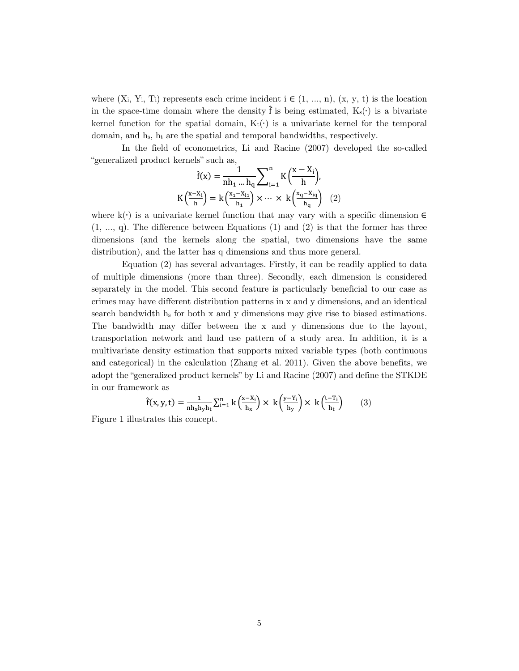where  $(X_i, Y_i, T_i)$  represents each crime incident  $i \in (1, ..., n)$ ,  $(x, y, t)$  is the location in the space-time domain where the density  $\hat{f}$  is being estimated,  $K_s(\cdot)$  is a bivariate kernel function for the spatial domain,  $K_t(\cdot)$  is a univariate kernel for the temporal domain, and hs, ht are the spatial and temporal bandwidths, respectively.

In the field of econometrics, Li and Racine (2007) developed the so-called "generalized product kernels" such as,

$$
\hat{f}(x) = \frac{1}{nh_1 \dots h_q} \underset{\sum_{i=1}^{n}}{\sum_{i=1}^{n}} K\Big(\frac{x-X_i}{h}\Big),
$$
  

$$
K\Big(\frac{x-X_i}{h}\Big) = k\Big(\frac{x_1-X_{i1}}{h_1}\Big) \times \dots \times k\Big(\frac{x_q-X_{iq}}{h_q}\Big) \quad (2)
$$

where k(∙) is a univariate kernel function that may vary with a specific dimension ∈  $(1, ..., q)$ . The difference between Equations  $(1)$  and  $(2)$  is that the former has three dimensions (and the kernels along the spatial, two dimensions have the same distribution), and the latter has q dimensions and thus more general.

Equation (2) has several advantages. Firstly, it can be readily applied to data of multiple dimensions (more than three). Secondly, each dimension is considered separately in the model. This second feature is particularly beneficial to our case as crimes may have different distribution patterns in x and y dimensions, and an identical search bandwidth hs for both x and y dimensions may give rise to biased estimations. The bandwidth may differ between the x and y dimensions due to the layout, transportation network and land use pattern of a study area. In addition, it is a multivariate density estimation that supports mixed variable types (both continuous and categorical) in the calculation (Zhang et al. 2011). Given the above benefits, we adopt the "generalized product kernels" by Li and Racine (2007) and define the STKDE in our framework as

$$
\hat{f}(x, y, t) = \frac{1}{nh_xh_yh_t} \sum_{i=1}^n k \left(\frac{x - x_i}{h_x}\right) \times k \left(\frac{y - y_i}{h_y}\right) \times k \left(\frac{t - T_i}{h_t}\right) \tag{3}
$$

Figure 1 illustrates this concept.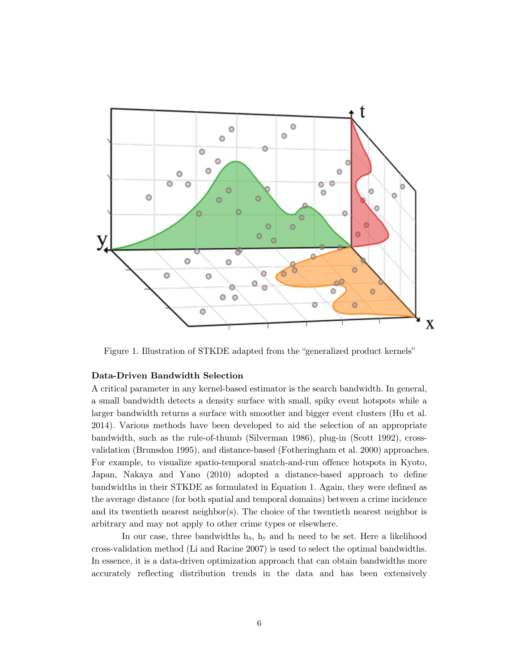

Figure 1. Illustration of STKDE adapted from the "generalized product kernels"

## **Data-Driven Bandwidth Selection**

A critical parameter in any kernel-based estimator is the search bandwidth. In general, a small bandwidth detects a density surface with small, spiky event hotspots while a larger bandwidth returns a surface with smoother and bigger event clusters (Hu et al. 2014). Various methods have been developed to aid the selection of an appropriate bandwidth, such as the rule-of-thumb (Silverman 1986), plug-in (Scott 1992), crossvalidation (Brunsdon 1995), and distance-based (Fotheringham et al. 2000) approaches. For example, to visualize spatio-temporal snatch-and-run offence hotspots in Kyoto, Japan, Nakaya and Yano (2010) adopted a distance-based approach to define bandwidths in their STKDE as formulated in Equation 1. Again, they were defined as the average distance (for both spatial and temporal domains) between a crime incidence and its twentieth nearest neighbor(s). The choice of the twentieth nearest neighbor is arbitrary and may not apply to other crime types or elsewhere.

In our case, three bandwidths  $h_x$ ,  $h_y$  and  $h_t$  need to be set. Here a likelihood cross-validation method (Li and Racine 2007) is used to select the optimal bandwidths. In essence, it is a data-driven optimization approach that can obtain bandwidths more accurately reflecting distribution trends in the data and has been extensively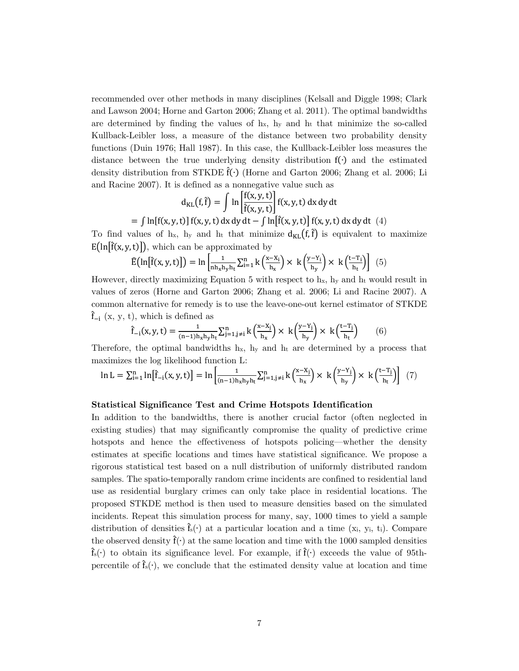recommended over other methods in many disciplines (Kelsall and Diggle 1998; Clark and Lawson 2004; Horne and Garton 2006; Zhang et al. 2011). The optimal bandwidths are determined by finding the values of  $h<sub>x</sub>$ ,  $h<sub>y</sub>$  and  $h<sub>t</sub>$  that minimize the so-called Kullback-Leibler loss, a measure of the distance between two probability density functions (Duin 1976; Hall 1987). In this case, the Kullback-Leibler loss measures the distance between the true underlying density distribution f(∙) and the estimated density distribution from STKDE  $\hat{f}(\cdot)$  (Horne and Garton 2006; Zhang et al. 2006; Li and Racine 2007). It is defined as a nonnegative value such as

$$
d_{KL}(f, \hat{f}) = \int \ln \left[ \frac{f(x, y, t)}{\hat{f}(x, y, t)} \right] f(x, y, t) dx dy dt
$$

 $=\int \ln[f(x, y, t)] f(x, y, t) dx dy dt - \int \ln[\hat{f}(x, y, t)] f(x, y, t) dx dy dt$  (4)

To find values of  $h_x$ ,  $h_y$  and  $h_t$  that minimize  $d_{KL}(f, \hat{f})$  is equivalent to maximize  $E\left(\ln\left[\hat{f}(x, y, t)\right]\right)$ , which can be approximated by

$$
\widehat{E}\left(\ln[\widehat{f}(x, y, t)]\right) = \ln\left[\frac{1}{nh_xh_yh_t}\sum_{i=1}^n k\left(\frac{x - x_i}{h_x}\right) \times \left(k\left(\frac{y - Y_i}{h_y}\right) \times \left(k\left(\frac{t - T_i}{h_t}\right)\right)\right] \tag{5}
$$

However, directly maximizing Equation 5 with respect to  $h<sub>x</sub>$ ,  $h<sub>y</sub>$  and  $h<sub>t</sub>$  would result in values of zeros (Horne and Garton 2006; Zhang et al. 2006; Li and Racine 2007). A common alternative for remedy is to use the leave-one-out kernel estimator of STKDE  $\hat{f}_{-i}$  (x, y, t), which is defined as

$$
\hat{f}_{-i}(x, y, t) = \frac{1}{(n-1)h_xh_yh_t} \sum_{j=1, j\neq i}^{n} k\left(\frac{x - x_j}{h_x}\right) \times k\left(\frac{y - Y_j}{h_y}\right) \times k\left(\frac{t - T_j}{h_t}\right) \tag{6}
$$

Therefore, the optimal bandwidths  $h_x$ ,  $h_y$  and  $h_t$  are determined by a process that maximizes the log likelihood function L:

$$
\ln L = \sum_{i=1}^{n} \ln \left[ \hat{f}_{-i}(x, y, t) \right] = \ln \left[ \frac{1}{(n-1)h_xh_yh_t} \sum_{j=1, j \neq i}^{n} k \left( \frac{x - x_j}{h_x} \right) \times \right] \left( \frac{y - Y_j}{h_y} \right) \times \left( \frac{t - T_j}{h_t} \right) \right] \tag{7}
$$

#### **Statistical Significance Test and Crime Hotspots Identification**

In addition to the bandwidths, there is another crucial factor (often neglected in existing studies) that may significantly compromise the quality of predictive crime hotspots and hence the effectiveness of hotspots policing—whether the density estimates at specific locations and times have statistical significance. We propose a rigorous statistical test based on a null distribution of uniformly distributed random samples. The spatio-temporally random crime incidents are confined to residential land use as residential burglary crimes can only take place in residential locations. The proposed STKDE method is then used to measure densities based on the simulated incidents. Repeat this simulation process for many, say, 1000 times to yield a sample distribution of densities  $\hat{f}_s(\cdot)$  at a particular location and a time (x<sub>i</sub>, y<sub>i</sub>, t<sub>i</sub>). Compare the observed density  $\hat{f}(\cdot)$  at the same location and time with the 1000 sampled densities  $\hat{f}_s(\cdot)$  to obtain its significance level. For example, if  $\hat{f}(\cdot)$  exceeds the value of 95thpercentile of  $\mathbf{\hat{f}}_s(\cdot)$ , we conclude that the estimated density value at location and time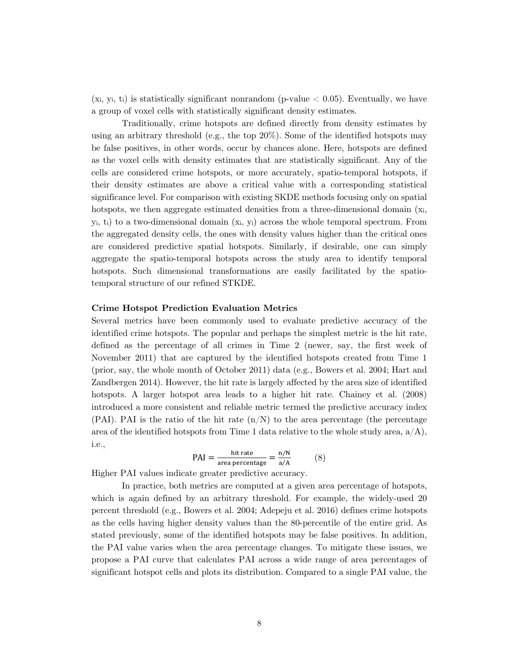$(x_i, y_i, t_i)$  is statistically significant nonrandom (p-value  $\lt 0.05$ ). Eventually, we have a group of voxel cells with statistically significant density estimates.

Traditionally, crime hotspots are defined directly from density estimates by using an arbitrary threshold (e.g., the top 20%). Some of the identified hotspots may be false positives, in other words, occur by chances alone. Here, hotspots are defined as the voxel cells with density estimates that are statistically significant. Any of the cells are considered crime hotspots, or more accurately, spatio-temporal hotspots, if their density estimates are above a critical value with a corresponding statistical significance level. For comparison with existing SKDE methods focusing only on spatial hotspots, we then aggregate estimated densities from a three-dimensional domain  $(x_i)$ , yi, ti) to a two-dimensional domain (xi, yi) across the whole temporal spectrum. From the aggregated density cells, the ones with density values higher than the critical ones are considered predictive spatial hotspots. Similarly, if desirable, one can simply aggregate the spatio-temporal hotspots across the study area to identify temporal hotspots. Such dimensional transformations are easily facilitated by the spatiotemporal structure of our refined STKDE.

#### **Crime Hotspot Prediction Evaluation Metrics**

Several metrics have been commonly used to evaluate predictive accuracy of the identified crime hotspots. The popular and perhaps the simplest metric is the hit rate, defined as the percentage of all crimes in Time 2 (newer, say, the first week of November 2011) that are captured by the identified hotspots created from Time 1 (prior, say, the whole month of October 2011) data (e.g., Bowers et al. 2004; Hart and Zandbergen 2014). However, the hit rate is largely affected by the area size of identified hotspots. A larger hotspot area leads to a higher hit rate. Chainey et al. (2008) introduced a more consistent and reliable metric termed the predictive accuracy index  $(PAI)$ . PAI is the ratio of the hit rate  $(n/N)$  to the area percentage (the percentage area of the identified hotspots from Time 1 data relative to the whole study area,  $a/A$ ), i.e.,

$$
PAI = \frac{hit\ rate}{area\ percentage} = \frac{n/N}{a/A} \tag{8}
$$

Higher PAI values indicate greater predictive accuracy.

In practice, both metrics are computed at a given area percentage of hotspots, which is again defined by an arbitrary threshold. For example, the widely-used 20 percent threshold (e.g., Bowers et al. 2004; Adepeju et al. 2016) defines crime hotspots as the cells having higher density values than the 80-percentile of the entire grid. As stated previously, some of the identified hotspots may be false positives. In addition, the PAI value varies when the area percentage changes. To mitigate these issues, we propose a PAI curve that calculates PAI across a wide range of area percentages of significant hotspot cells and plots its distribution. Compared to a single PAI value, the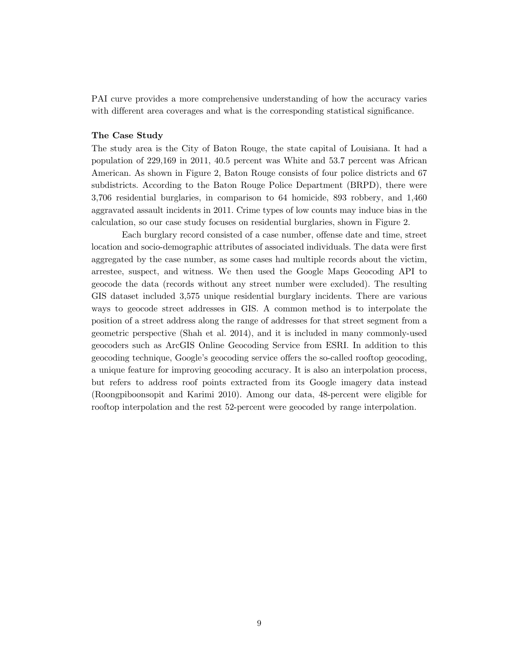PAI curve provides a more comprehensive understanding of how the accuracy varies with different area coverages and what is the corresponding statistical significance.

#### **The Case Study**

The study area is the City of Baton Rouge, the state capital of Louisiana. It had a population of 229,169 in 2011, 40.5 percent was White and 53.7 percent was African American. As shown in Figure 2, Baton Rouge consists of four police districts and 67 subdistricts. According to the Baton Rouge Police Department (BRPD), there were 3,706 residential burglaries, in comparison to 64 homicide, 893 robbery, and 1,460 aggravated assault incidents in 2011. Crime types of low counts may induce bias in the calculation, so our case study focuses on residential burglaries, shown in Figure 2.

Each burglary record consisted of a case number, offense date and time, street location and socio-demographic attributes of associated individuals. The data were first aggregated by the case number, as some cases had multiple records about the victim, arrestee, suspect, and witness. We then used the Google Maps Geocoding API to geocode the data (records without any street number were excluded). The resulting GIS dataset included 3,575 unique residential burglary incidents. There are various ways to geocode street addresses in GIS. A common method is to interpolate the position of a street address along the range of addresses for that street segment from a geometric perspective (Shah et al. 2014), and it is included in many commonly-used geocoders such as ArcGIS Online Geocoding Service from ESRI. In addition to this geocoding technique, Google's geocoding service offers the so-called rooftop geocoding, a unique feature for improving geocoding accuracy. It is also an interpolation process, but refers to address roof points extracted from its Google imagery data instead (Roongpiboonsopit and Karimi 2010). Among our data, 48-percent were eligible for rooftop interpolation and the rest 52-percent were geocoded by range interpolation.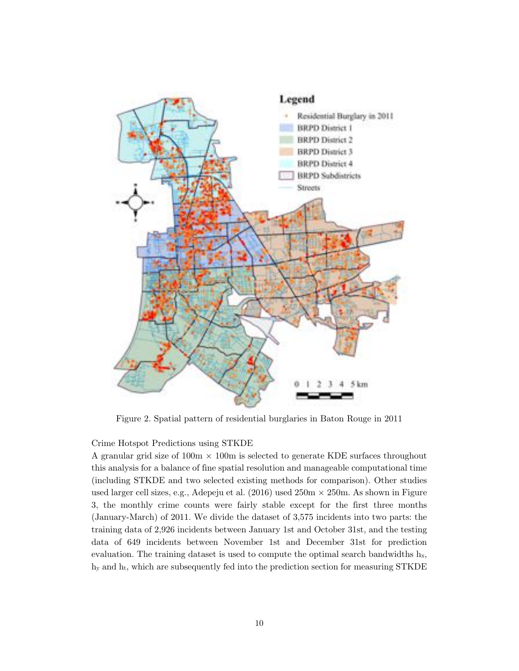

Figure 2. Spatial pattern of residential burglaries in Baton Rouge in 2011

Crime Hotspot Predictions using STKDE

A granular grid size of  $100m \times 100m$  is selected to generate KDE surfaces throughout this analysis for a balance of fine spatial resolution and manageable computational time (including STKDE and two selected existing methods for comparison). Other studies used larger cell sizes, e.g., Adepeju et al.  $(2016)$  used  $250m \times 250m$ . As shown in Figure 3, the monthly crime counts were fairly stable except for the first three months (January-March) of 2011. We divide the dataset of 3,575 incidents into two parts: the training data of 2,926 incidents between January 1st and October 31st, and the testing data of 649 incidents between November 1st and December 31st for prediction evaluation. The training dataset is used to compute the optimal search bandwidths  $h<sub>x</sub>$ , hy and ht, which are subsequently fed into the prediction section for measuring STKDE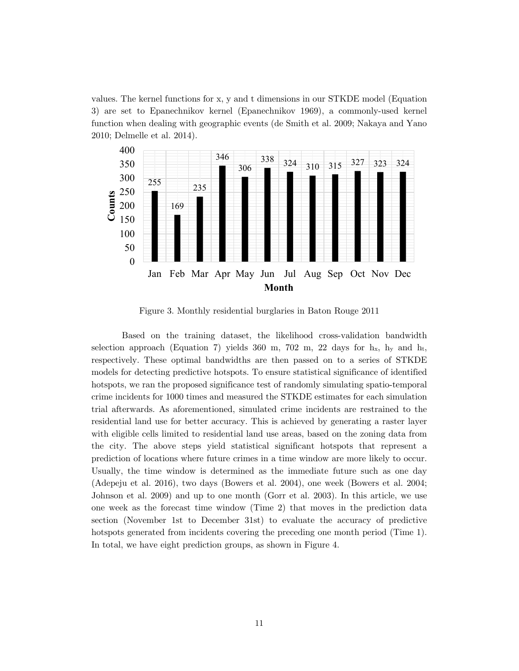values. The kernel functions for x, y and t dimensions in our STKDE model (Equation 3) are set to Epanechnikov kernel (Epanechnikov 1969), a commonly-used kernel function when dealing with geographic events (de Smith et al. 2009; Nakaya and Yano 2010; Delmelle et al. 2014).



Figure 3. Monthly residential burglaries in Baton Rouge 2011

Based on the training dataset, the likelihood cross-validation bandwidth selection approach (Equation 7) yields  $360 \text{ m}$ ,  $702 \text{ m}$ ,  $22 \text{ days}$  for h<sub>x</sub>, h<sub>y</sub> and h<sub>t</sub>, respectively. These optimal bandwidths are then passed on to a series of STKDE models for detecting predictive hotspots. To ensure statistical significance of identified hotspots, we ran the proposed significance test of randomly simulating spatio-temporal crime incidents for 1000 times and measured the STKDE estimates for each simulation trial afterwards. As aforementioned, simulated crime incidents are restrained to the residential land use for better accuracy. This is achieved by generating a raster layer with eligible cells limited to residential land use areas, based on the zoning data from the city. The above steps yield statistical significant hotspots that represent a prediction of locations where future crimes in a time window are more likely to occur. Usually, the time window is determined as the immediate future such as one day (Adepeju et al. 2016), two days (Bowers et al. 2004), one week (Bowers et al. 2004; Johnson et al. 2009) and up to one month (Gorr et al. 2003). In this article, we use one week as the forecast time window (Time 2) that moves in the prediction data section (November 1st to December 31st) to evaluate the accuracy of predictive hotspots generated from incidents covering the preceding one month period (Time 1). In total, we have eight prediction groups, as shown in Figure 4.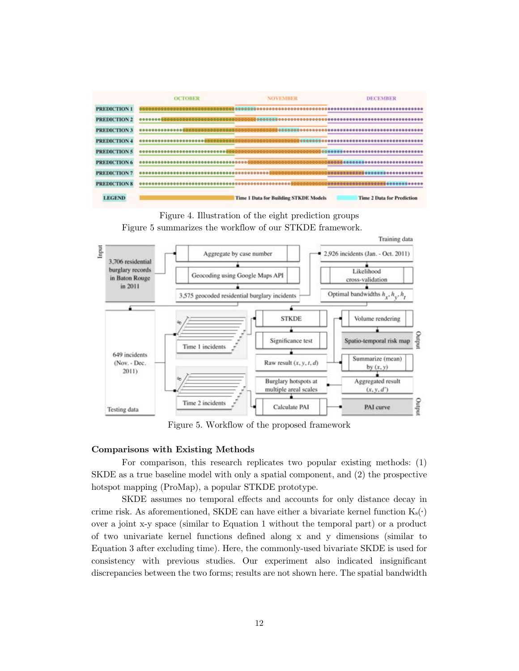





Figure 5. Workflow of the proposed framework

#### **Comparisons with Existing Methods**

For comparison, this research replicates two popular existing methods: (1) SKDE as a true baseline model with only a spatial component, and (2) the prospective hotspot mapping (ProMap), a popular STKDE prototype.

SKDE assumes no temporal effects and accounts for only distance decay in crime risk. As aforementioned, SKDE can have either a bivariate kernel function  $K_s(\cdot)$ over a joint x-y space (similar to Equation 1 without the temporal part) or a product of two univariate kernel functions defined along x and y dimensions (similar to Equation 3 after excluding time). Here, the commonly-used bivariate SKDE is used for consistency with previous studies. Our experiment also indicated insignificant discrepancies between the two forms; results are not shown here. The spatial bandwidth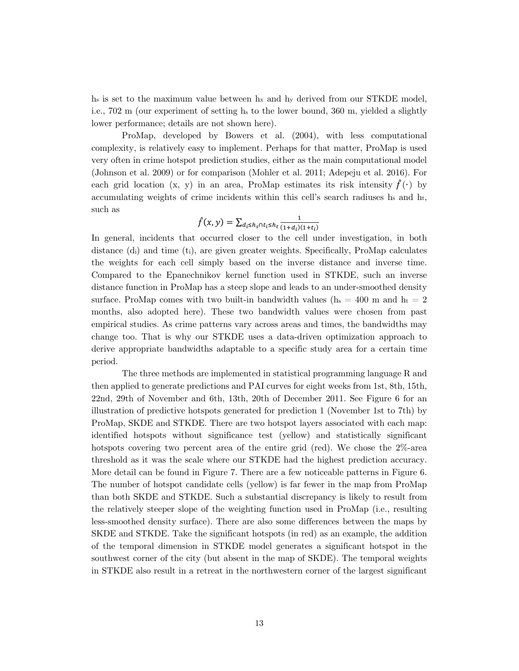$h_s$  is set to the maximum value between  $h_x$  and  $h_y$  derived from our STKDE model, i.e., 702 m (our experiment of setting hs to the lower bound, 360 m, yielded a slightly lower performance; details are not shown here).

ProMap, developed by Bowers et al. (2004), with less computational complexity, is relatively easy to implement. Perhaps for that matter, ProMap is used very often in crime hotspot prediction studies, either as the main computational model (Johnson et al. 2009) or for comparison (Mohler et al. 2011; Adepeju et al. 2016). For each grid location (x, y) in an area, ProMap estimates its risk intensity  $f(·)$  by accumulating weights of crime incidents within this cell's search radiuses  $h_s$  and  $h_t$ , such as

$$
\hat{f}(x,y) = \sum_{d_i \leq h_s \cap t_i \leq h_t} \frac{1}{(1+d_i)(1+t_i)}
$$

In general, incidents that occurred closer to the cell under investigation, in both distance (di) and time (ti), are given greater weights. Specifically, ProMap calculates the weights for each cell simply based on the inverse distance and inverse time. Compared to the Epanechnikov kernel function used in STKDE, such an inverse distance function in ProMap has a steep slope and leads to an under-smoothed density surface. ProMap comes with two built-in bandwidth values ( $h_s = 400$  m and  $h_t = 2$ ) months, also adopted here). These two bandwidth values were chosen from past empirical studies. As crime patterns vary across areas and times, the bandwidths may change too. That is why our STKDE uses a data-driven optimization approach to derive appropriate bandwidths adaptable to a specific study area for a certain time period.

The three methods are implemented in statistical programming language R and then applied to generate predictions and PAI curves for eight weeks from 1st, 8th, 15th, 22nd, 29th of November and 6th, 13th, 20th of December 2011. See Figure 6 for an illustration of predictive hotspots generated for prediction 1 (November 1st to 7th) by ProMap, SKDE and STKDE. There are two hotspot layers associated with each map: identified hotspots without significance test (yellow) and statistically significant hotspots covering two percent area of the entire grid (red). We chose the 2%-area threshold as it was the scale where our STKDE had the highest prediction accuracy. More detail can be found in Figure 7. There are a few noticeable patterns in Figure 6. The number of hotspot candidate cells (yellow) is far fewer in the map from ProMap than both SKDE and STKDE. Such a substantial discrepancy is likely to result from the relatively steeper slope of the weighting function used in ProMap (i.e., resulting less-smoothed density surface). There are also some differences between the maps by SKDE and STKDE. Take the significant hotspots (in red) as an example, the addition of the temporal dimension in STKDE model generates a significant hotspot in the southwest corner of the city (but absent in the map of SKDE). The temporal weights in STKDE also result in a retreat in the northwestern corner of the largest significant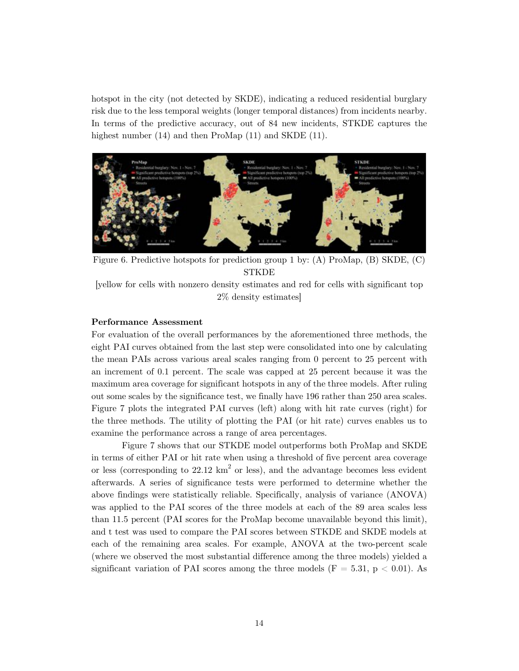hotspot in the city (not detected by SKDE), indicating a reduced residential burglary risk due to the less temporal weights (longer temporal distances) from incidents nearby. In terms of the predictive accuracy, out of 84 new incidents, STKDE captures the highest number (14) and then ProMap (11) and SKDE (11).



Figure 6. Predictive hotspots for prediction group 1 by: (A) ProMap, (B) SKDE, (C) STKDE

[yellow for cells with nonzero density estimates and red for cells with significant top 2% density estimates]

#### **Performance Assessment**

For evaluation of the overall performances by the aforementioned three methods, the eight PAI curves obtained from the last step were consolidated into one by calculating the mean PAIs across various areal scales ranging from 0 percent to 25 percent with an increment of 0.1 percent. The scale was capped at 25 percent because it was the maximum area coverage for significant hotspots in any of the three models. After ruling out some scales by the significance test, we finally have 196 rather than 250 area scales. Figure 7 plots the integrated PAI curves (left) along with hit rate curves (right) for the three methods. The utility of plotting the PAI (or hit rate) curves enables us to examine the performance across a range of area percentages.

Figure 7 shows that our STKDE model outperforms both ProMap and SKDE in terms of either PAI or hit rate when using a threshold of five percent area coverage or less (corresponding to  $22.12 \text{ km}^2$  or less), and the advantage becomes less evident afterwards. A series of significance tests were performed to determine whether the above findings were statistically reliable. Specifically, analysis of variance (ANOVA) was applied to the PAI scores of the three models at each of the 89 area scales less than 11.5 percent (PAI scores for the ProMap become unavailable beyond this limit), and t test was used to compare the PAI scores between STKDE and SKDE models at each of the remaining area scales. For example, ANOVA at the two-percent scale (where we observed the most substantial difference among the three models) yielded a significant variation of PAI scores among the three models ( $F = 5.31, p < 0.01$ ). As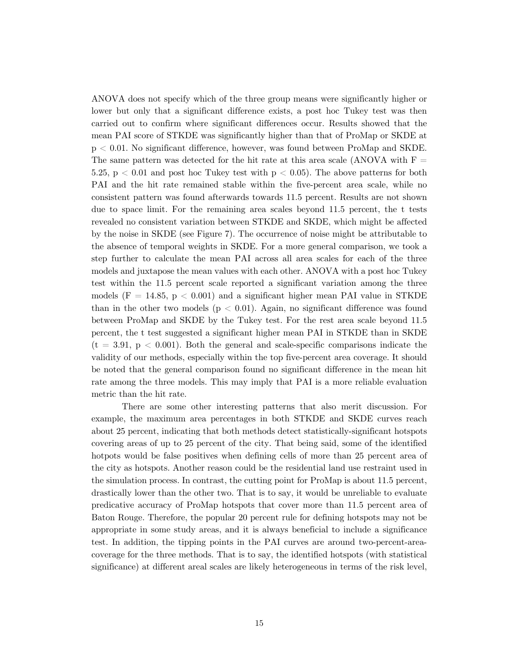ANOVA does not specify which of the three group means were significantly higher or lower but only that a significant difference exists, a post hoc Tukey test was then carried out to confirm where significant differences occur. Results showed that the mean PAI score of STKDE was significantly higher than that of ProMap or SKDE at p < 0.01. No significant difference, however, was found between ProMap and SKDE. The same pattern was detected for the hit rate at this area scale (ANOVA with  $F =$ 5.25,  $p < 0.01$  and post hoc Tukey test with  $p < 0.05$ ). The above patterns for both PAI and the hit rate remained stable within the five-percent area scale, while no consistent pattern was found afterwards towards 11.5 percent. Results are not shown due to space limit. For the remaining area scales beyond 11.5 percent, the t tests revealed no consistent variation between STKDE and SKDE, which might be affected by the noise in SKDE (see Figure 7). The occurrence of noise might be attributable to the absence of temporal weights in SKDE. For a more general comparison, we took a step further to calculate the mean PAI across all area scales for each of the three models and juxtapose the mean values with each other. ANOVA with a post hoc Tukey test within the 11.5 percent scale reported a significant variation among the three models  $(F = 14.85, p < 0.001)$  and a significant higher mean PAI value in STKDE than in the other two models ( $p < 0.01$ ). Again, no significant difference was found between ProMap and SKDE by the Tukey test. For the rest area scale beyond 11.5 percent, the t test suggested a significant higher mean PAI in STKDE than in SKDE  $(t = 3.91, p < 0.001)$ . Both the general and scale-specific comparisons indicate the validity of our methods, especially within the top five-percent area coverage. It should be noted that the general comparison found no significant difference in the mean hit rate among the three models. This may imply that PAI is a more reliable evaluation metric than the hit rate.

There are some other interesting patterns that also merit discussion. For example, the maximum area percentages in both STKDE and SKDE curves reach about 25 percent, indicating that both methods detect statistically-significant hotspots covering areas of up to 25 percent of the city. That being said, some of the identified hotpots would be false positives when defining cells of more than 25 percent area of the city as hotspots. Another reason could be the residential land use restraint used in the simulation process. In contrast, the cutting point for ProMap is about 11.5 percent, drastically lower than the other two. That is to say, it would be unreliable to evaluate predicative accuracy of ProMap hotspots that cover more than 11.5 percent area of Baton Rouge. Therefore, the popular 20 percent rule for defining hotspots may not be appropriate in some study areas, and it is always beneficial to include a significance test. In addition, the tipping points in the PAI curves are around two-percent-areacoverage for the three methods. That is to say, the identified hotspots (with statistical significance) at different areal scales are likely heterogeneous in terms of the risk level,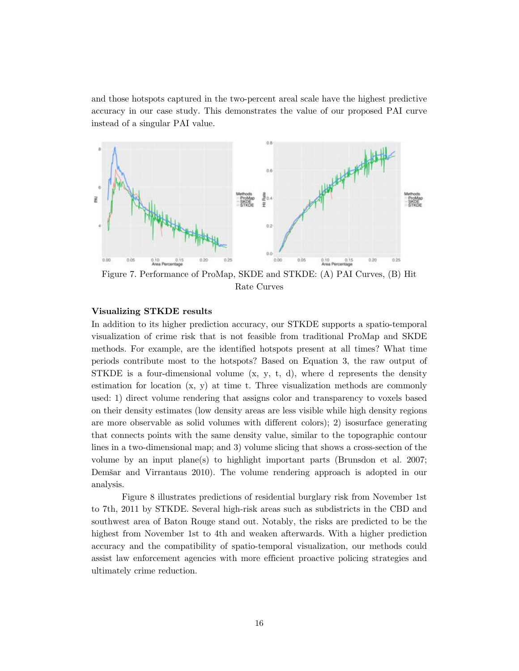and those hotspots captured in the two-percent areal scale have the highest predictive accuracy in our case study. This demonstrates the value of our proposed PAI curve instead of a singular PAI value.



Figure 7. Performance of ProMap, SKDE and STKDE: (A) PAI Curves, (B) Hit Rate Curves

## **Visualizing STKDE results**

In addition to its higher prediction accuracy, our STKDE supports a spatio-temporal visualization of crime risk that is not feasible from traditional ProMap and SKDE methods. For example, are the identified hotspots present at all times? What time periods contribute most to the hotspots? Based on Equation 3, the raw output of STKDE is a four-dimensional volume  $(x, y, t, d)$ , where d represents the density estimation for location (x, y) at time t. Three visualization methods are commonly used: 1) direct volume rendering that assigns color and transparency to voxels based on their density estimates (low density areas are less visible while high density regions are more observable as solid volumes with different colors); 2) isosurface generating that connects points with the same density value, similar to the topographic contour lines in a two-dimensional map; and 3) volume slicing that shows a cross-section of the volume by an input plane(s) to highlight important parts (Brunsdon et al. 2007; Demšar and Virrantaus 2010). The volume rendering approach is adopted in our analysis.

Figure 8 illustrates predictions of residential burglary risk from November 1st to 7th, 2011 by STKDE. Several high-risk areas such as subdistricts in the CBD and southwest area of Baton Rouge stand out. Notably, the risks are predicted to be the highest from November 1st to 4th and weaken afterwards. With a higher prediction accuracy and the compatibility of spatio-temporal visualization, our methods could assist law enforcement agencies with more efficient proactive policing strategies and ultimately crime reduction.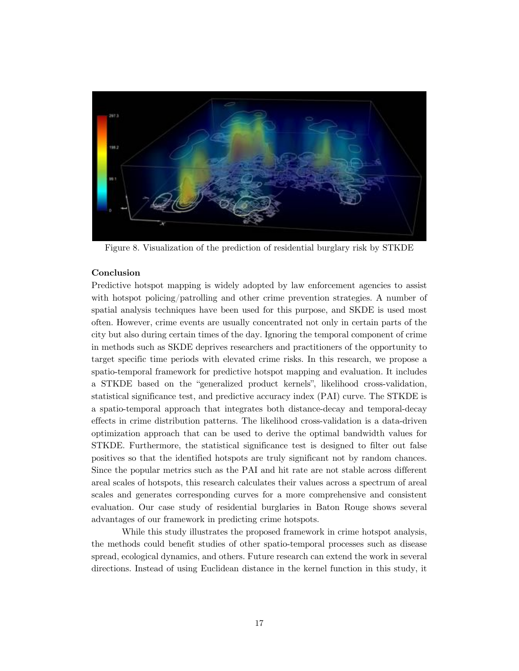

Figure 8. Visualization of the prediction of residential burglary risk by STKDE

## **Conclusion**

Predictive hotspot mapping is widely adopted by law enforcement agencies to assist with hotspot policing/patrolling and other crime prevention strategies. A number of spatial analysis techniques have been used for this purpose, and SKDE is used most often. However, crime events are usually concentrated not only in certain parts of the city but also during certain times of the day. Ignoring the temporal component of crime in methods such as SKDE deprives researchers and practitioners of the opportunity to target specific time periods with elevated crime risks. In this research, we propose a spatio-temporal framework for predictive hotspot mapping and evaluation. It includes a STKDE based on the "generalized product kernels", likelihood cross-validation, statistical significance test, and predictive accuracy index (PAI) curve. The STKDE is a spatio-temporal approach that integrates both distance-decay and temporal-decay effects in crime distribution patterns. The likelihood cross-validation is a data-driven optimization approach that can be used to derive the optimal bandwidth values for STKDE. Furthermore, the statistical significance test is designed to filter out false positives so that the identified hotspots are truly significant not by random chances. Since the popular metrics such as the PAI and hit rate are not stable across different areal scales of hotspots, this research calculates their values across a spectrum of areal scales and generates corresponding curves for a more comprehensive and consistent evaluation. Our case study of residential burglaries in Baton Rouge shows several advantages of our framework in predicting crime hotspots.

While this study illustrates the proposed framework in crime hotspot analysis, the methods could benefit studies of other spatio-temporal processes such as disease spread, ecological dynamics, and others. Future research can extend the work in several directions. Instead of using Euclidean distance in the kernel function in this study, it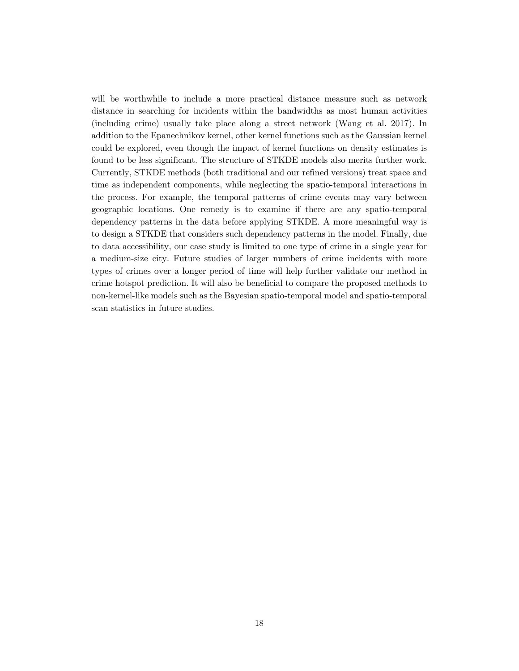will be worthwhile to include a more practical distance measure such as network distance in searching for incidents within the bandwidths as most human activities (including crime) usually take place along a street network (Wang et al. 2017). In addition to the Epanechnikov kernel, other kernel functions such as the Gaussian kernel could be explored, even though the impact of kernel functions on density estimates is found to be less significant. The structure of STKDE models also merits further work. Currently, STKDE methods (both traditional and our refined versions) treat space and time as independent components, while neglecting the spatio-temporal interactions in the process. For example, the temporal patterns of crime events may vary between geographic locations. One remedy is to examine if there are any spatio-temporal dependency patterns in the data before applying STKDE. A more meaningful way is to design a STKDE that considers such dependency patterns in the model. Finally, due to data accessibility, our case study is limited to one type of crime in a single year for a medium-size city. Future studies of larger numbers of crime incidents with more types of crimes over a longer period of time will help further validate our method in crime hotspot prediction. It will also be beneficial to compare the proposed methods to non-kernel-like models such as the Bayesian spatio-temporal model and spatio-temporal scan statistics in future studies.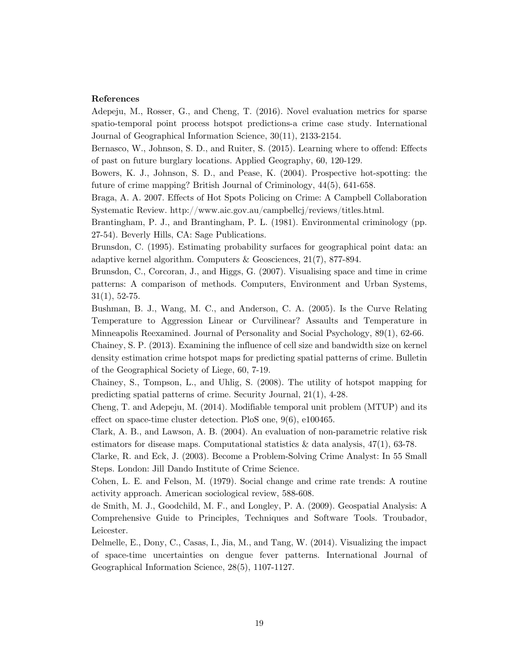## **References**

Adepeju, M., Rosser, G., and Cheng, T. (2016). Novel evaluation metrics for sparse spatio-temporal point process hotspot predictions-a crime case study. International Journal of Geographical Information Science, 30(11), 2133-2154.

Bernasco, W., Johnson, S. D., and Ruiter, S. (2015). Learning where to offend: Effects of past on future burglary locations. Applied Geography, 60, 120-129.

Bowers, K. J., Johnson, S. D., and Pease, K. (2004). Prospective hot-spotting: the future of crime mapping? British Journal of Criminology, 44(5), 641-658.

Braga, A. A. 2007. Effects of Hot Spots Policing on Crime: A Campbell Collaboration Systematic Review. http://www.aic.gov.au/campbellcj/reviews/titles.html.

Brantingham, P. J., and Brantingham, P. L. (1981). Environmental criminology (pp. 27-54). Beverly Hills, CA: Sage Publications.

Brunsdon, C. (1995). Estimating probability surfaces for geographical point data: an adaptive kernel algorithm. Computers & Geosciences, 21(7), 877-894.

Brunsdon, C., Corcoran, J., and Higgs, G. (2007). Visualising space and time in crime patterns: A comparison of methods. Computers, Environment and Urban Systems,  $31(1), 52-75.$ 

Bushman, B. J., Wang, M. C., and Anderson, C. A. (2005). Is the Curve Relating Temperature to Aggression Linear or Curvilinear? Assaults and Temperature in Minneapolis Reexamined. Journal of Personality and Social Psychology, 89(1), 62-66.

Chainey, S. P. (2013). Examining the influence of cell size and bandwidth size on kernel density estimation crime hotspot maps for predicting spatial patterns of crime. Bulletin of the Geographical Society of Liege, 60, 7-19.

Chainey, S., Tompson, L., and Uhlig, S. (2008). The utility of hotspot mapping for predicting spatial patterns of crime. Security Journal, 21(1), 4-28.

Cheng, T. and Adepeju, M. (2014). Modifiable temporal unit problem (MTUP) and its effect on space-time cluster detection. PloS one, 9(6), e100465.

Clark, A. B., and Lawson, A. B. (2004). An evaluation of non-parametric relative risk estimators for disease maps. Computational statistics  $\&$  data analysis, 47(1), 63-78.

Clarke, R. and Eck, J. (2003). Become a Problem-Solving Crime Analyst: In 55 Small Steps. London: Jill Dando Institute of Crime Science.

Cohen, L. E. and Felson, M. (1979). Social change and crime rate trends: A routine activity approach. American sociological review, 588-608.

de Smith, M. J., Goodchild, M. F., and Longley, P. A. (2009). Geospatial Analysis: A Comprehensive Guide to Principles, Techniques and Software Tools. Troubador, Leicester.

Delmelle, E., Dony, C., Casas, I., Jia, M., and Tang, W. (2014). Visualizing the impact of space-time uncertainties on dengue fever patterns. International Journal of Geographical Information Science, 28(5), 1107-1127.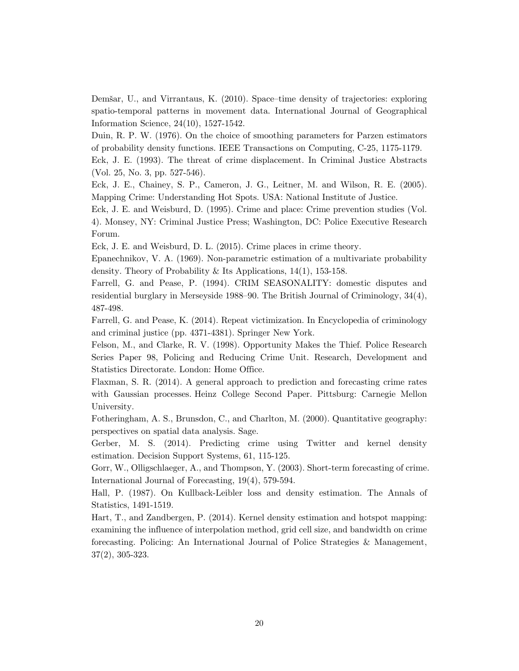Demšar, U., and Virrantaus, K. (2010). Space– time density of trajectories: exploring spatio-temporal patterns in movement data. International Journal of Geographical Information Science, 24(10), 1527-1542.

Duin, R. P. W. (1976). On the choice of smoothing parameters for Parzen estimators of probability density functions. IEEE Transactions on Computing, C-25, 1175-1179.

Eck, J. E. (1993). The threat of crime displacement. In Criminal Justice Abstracts (Vol. 25, No. 3, pp. 527-546).

Eck, J. E., Chainey, S. P., Cameron, J. G., Leitner, M. and Wilson, R. E. (2005). Mapping Crime: Understanding Hot Spots. USA: National Institute of Justice.

Eck, J. E. and Weisburd, D. (1995). Crime and place: Crime prevention studies (Vol. 4). Monsey, NY: Criminal Justice Press; Washington, DC: Police Executive Research Forum.

Eck, J. E. and Weisburd, D. L. (2015). Crime places in crime theory.

Epanechnikov, V. A. (1969). Non-parametric estimation of a multivariate probability density. Theory of Probability & Its Applications, 14(1), 153-158.

Farrell, G. and Pease, P. (1994). CRIM SEASONALITY: domestic disputes and residential burglary in Merseyside 1988–90. The British Journal of Criminology,  $34(4)$ , 487-498.

Farrell, G. and Pease, K. (2014). Repeat victimization. In Encyclopedia of criminology and criminal justice (pp. 4371-4381). Springer New York.

Felson, M., and Clarke, R. V. (1998). Opportunity Makes the Thief. Police Research Series Paper 98, Policing and Reducing Crime Unit. Research, Development and Statistics Directorate. London: Home Office.

Flaxman, S. R. (2014). A general approach to prediction and forecasting crime rates with Gaussian processes. Heinz College Second Paper. Pittsburg: Carnegie Mellon University.

Fotheringham, A. S., Brunsdon, C., and Charlton, M. (2000). Quantitative geography: perspectives on spatial data analysis. Sage.

Gerber, M. S. (2014). Predicting crime using Twitter and kernel density estimation. Decision Support Systems, 61, 115-125.

Gorr, W., Olligschlaeger, A., and Thompson, Y. (2003). Short-term forecasting of crime. International Journal of Forecasting, 19(4), 579-594.

Hall, P. (1987). On Kullback-Leibler loss and density estimation. The Annals of Statistics, 1491-1519.

Hart, T., and Zandbergen, P. (2014). Kernel density estimation and hotspot mapping: examining the influence of interpolation method, grid cell size, and bandwidth on crime forecasting. Policing: An International Journal of Police Strategies & Management, 37(2), 305-323.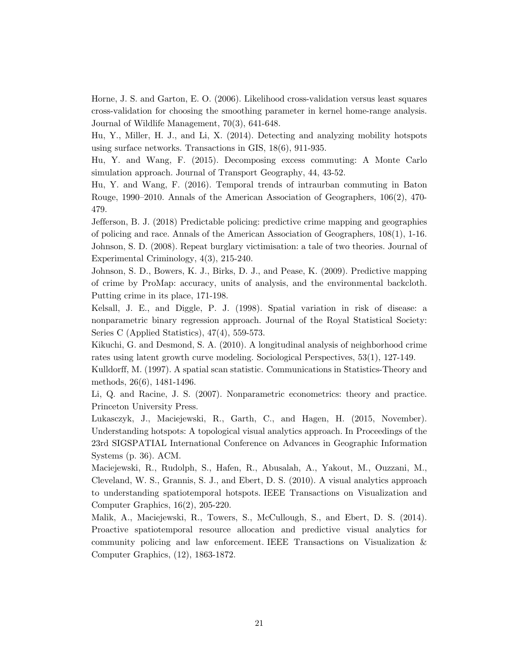Horne, J. S. and Garton, E. O. (2006). Likelihood cross-validation versus least squares cross-validation for choosing the smoothing parameter in kernel home-range analysis. Journal of Wildlife Management, 70(3), 641-648.

Hu, Y., Miller, H. J., and Li, X. (2014). Detecting and analyzing mobility hotspots using surface networks. Transactions in GIS, 18(6), 911-935.

Hu, Y. and Wang, F. (2015). Decomposing excess commuting: A Monte Carlo simulation approach. Journal of Transport Geography, 44, 43-52.

Hu, Y. and Wang, F. (2016). Temporal trends of intraurban commuting in Baton Rouge, 1990–2010. Annals of the American Association of Geographers, 106(2), 470-479.

Jefferson, B. J. (2018) Predictable policing: predictive crime mapping and geographies of policing and race. Annals of the American Association of Geographers, 108(1), 1-16. Johnson, S. D. (2008). Repeat burglary victimisation: a tale of two theories. Journal of Experimental Criminology, 4(3), 215-240.

Johnson, S. D., Bowers, K. J., Birks, D. J., and Pease, K. (2009). Predictive mapping of crime by ProMap: accuracy, units of analysis, and the environmental backcloth. Putting crime in its place, 171-198.

Kelsall, J. E., and Diggle, P. J. (1998). Spatial variation in risk of disease: a nonparametric binary regression approach. Journal of the Royal Statistical Society: Series C (Applied Statistics), 47(4), 559-573.

Kikuchi, G. and Desmond, S. A. (2010). A longitudinal analysis of neighborhood crime rates using latent growth curve modeling. Sociological Perspectives, 53(1), 127-149.

Kulldorff, M. (1997). A spatial scan statistic. Communications in Statistics-Theory and methods, 26(6), 1481-1496.

Li, Q. and Racine, J. S. (2007). Nonparametric econometrics: theory and practice. Princeton University Press.

Lukasczyk, J., Maciejewski, R., Garth, C., and Hagen, H. (2015, November). Understanding hotspots: A topological visual analytics approach. In Proceedings of the 23rd SIGSPATIAL International Conference on Advances in Geographic Information Systems (p. 36). ACM.

Maciejewski, R., Rudolph, S., Hafen, R., Abusalah, A., Yakout, M., Ouzzani, M., Cleveland, W. S., Grannis, S. J., and Ebert, D. S. (2010). A visual analytics approach to understanding spatiotemporal hotspots. IEEE Transactions on Visualization and Computer Graphics, 16(2), 205-220.

Malik, A., Maciejewski, R., Towers, S., McCullough, S., and Ebert, D. S. (2014). Proactive spatiotemporal resource allocation and predictive visual analytics for community policing and law enforcement. IEEE Transactions on Visualization & Computer Graphics, (12), 1863-1872.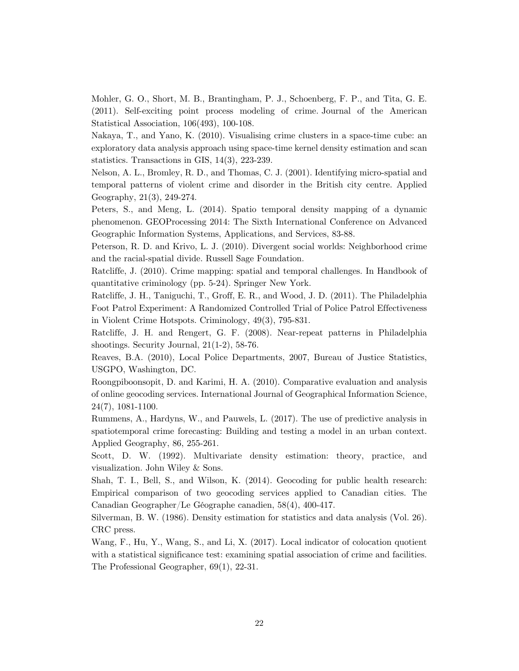Mohler, G. O., Short, M. B., Brantingham, P. J., Schoenberg, F. P., and Tita, G. E. (2011). Self-exciting point process modeling of crime. Journal of the American Statistical Association, 106(493), 100-108.

Nakaya, T., and Yano, K. (2010). Visualising crime clusters in a space-time cube: an exploratory data analysis approach using space-time kernel density estimation and scan statistics. Transactions in GIS, 14(3), 223-239.

Nelson, A. L., Bromley, R. D., and Thomas, C. J. (2001). Identifying micro-spatial and temporal patterns of violent crime and disorder in the British city centre. Applied Geography, 21(3), 249-274.

Peters, S., and Meng, L. (2014). Spatio temporal density mapping of a dynamic phenomenon. GEOProcessing 2014: The Sixth International Conference on Advanced Geographic Information Systems, Applications, and Services, 83-88.

Peterson, R. D. and Krivo, L. J. (2010). Divergent social worlds: Neighborhood crime and the racial-spatial divide. Russell Sage Foundation.

Ratcliffe, J. (2010). Crime mapping: spatial and temporal challenges. In Handbook of quantitative criminology (pp. 5-24). Springer New York.

Ratcliffe, J. H., Taniguchi, T., Groff, E. R., and Wood, J. D. (2011). The Philadelphia Foot Patrol Experiment: A Randomized Controlled Trial of Police Patrol Effectiveness in Violent Crime Hotspots. Criminology, 49(3), 795-831.

Ratcliffe, J. H. and Rengert, G. F. (2008). Near-repeat patterns in Philadelphia shootings. Security Journal, 21(1-2), 58-76.

Reaves, B.A. (2010), Local Police Departments, 2007, Bureau of Justice Statistics, USGPO, Washington, DC.

Roongpiboonsopit, D. and Karimi, H. A. (2010). Comparative evaluation and analysis of online geocoding services. International Journal of Geographical Information Science, 24(7), 1081-1100.

Rummens, A., Hardyns, W., and Pauwels, L. (2017). The use of predictive analysis in spatiotemporal crime forecasting: Building and testing a model in an urban context. Applied Geography, 86, 255-261.

Scott, D. W. (1992). Multivariate density estimation: theory, practice, and visualization. John Wiley & Sons.

Shah, T. I., Bell, S., and Wilson, K. (2014). Geocoding for public health research: Empirical comparison of two geocoding services applied to Canadian cities. The Canadian Geographer/Le Géographe canadien, 58(4), 400-417.

Silverman, B. W. (1986). Density estimation for statistics and data analysis (Vol. 26). CRC press.

Wang, F., Hu, Y., Wang, S., and Li, X. (2017). Local indicator of colocation quotient with a statistical significance test: examining spatial association of crime and facilities. The Professional Geographer, 69(1), 22-31.